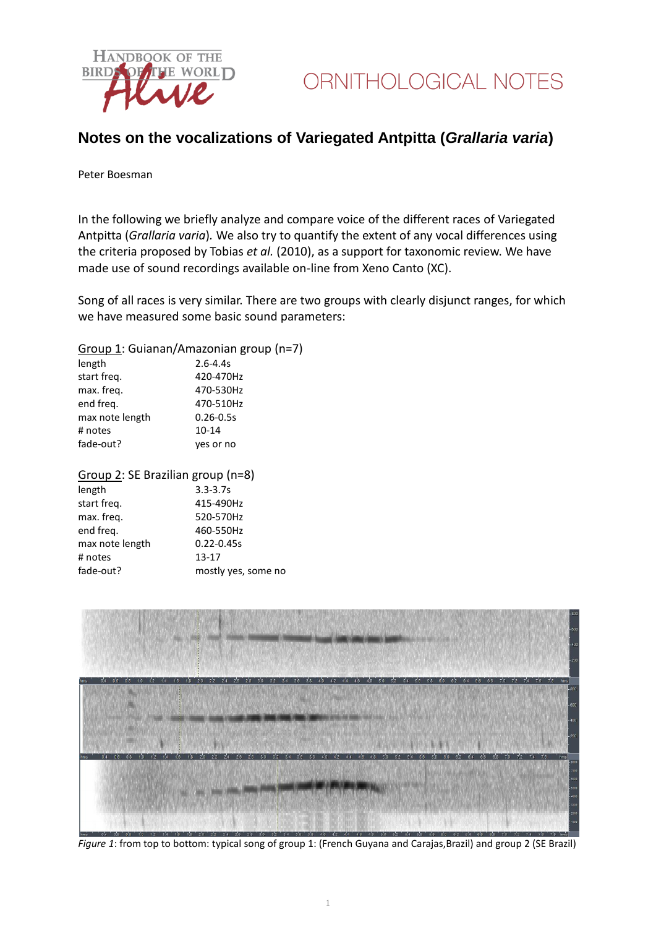

# **Notes on the vocalizations of Variegated Antpitta (***Grallaria varia***)**

#### Peter Boesman

In the following we briefly analyze and compare voice of the different races of Variegated Antpitta (*Grallaria varia*)*.* We also try to quantify the extent of any vocal differences using the criteria proposed by Tobias *et al.* (2010), as a support for taxonomic review. We have made use of sound recordings available on-line from Xeno Canto (XC).

Song of all races is very similar. There are two groups with clearly disjunct ranges, for which we have measured some basic sound parameters:

### Group 1: Guianan/Amazonian group (n=7)

| length          | $2.6 - 4.4s$  |
|-----------------|---------------|
| start freq.     | 420-470Hz     |
| max. freq.      | 470-530Hz     |
| end freg.       | 470-510Hz     |
| max note length | $0.26 - 0.5s$ |
| # notes         | $10 - 14$     |
| fade-out?       | yes or no     |
|                 |               |

### Group 2: SE Brazilian group (n=8)

| length          | $3.3 - 3.7s$        |
|-----------------|---------------------|
| start freq.     | 415-490Hz           |
| max. freq.      | 520-570Hz           |
| end freg.       | 460-550Hz           |
| max note length | $0.22 - 0.45s$      |
| # notes         | $13 - 17$           |
| fade-out?       | mostly yes, some no |
|                 |                     |



*Figure 1*: from top to bottom: typical song of group 1: (French Guyana and Carajas,Brazil) and group 2 (SE Brazil)